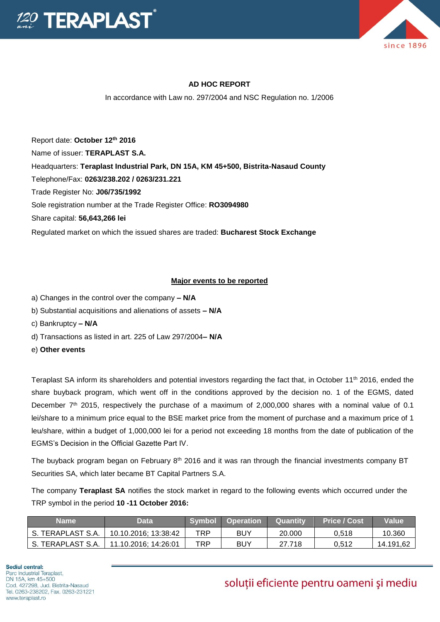



## **AD HOC REPORT**

In accordance with Law no. 297/2004 and NSC Regulation no. 1/2006

Report date: **October 12th 2016** Name of issuer: **TERAPLAST S.A.**  Headquarters: **Teraplast Industrial Park, DN 15A, KM 45+500, Bistrita-Nasaud County** Telephone/Fax: **0263/238.202 / 0263/231.221** Trade Register No: **J06/735/1992** Sole registration number at the Trade Register Office: **RO3094980**

Share capital: **56,643,266 lei** 

Regulated market on which the issued shares are traded: **Bucharest Stock Exchange**

## **Major events to be reported**

- a) Changes in the control over the company **– N/A**
- b) Substantial acquisitions and alienations of assets **– N/A**
- c) Bankruptcy **– N/A**
- d) Transactions as listed in art. 225 of Law 297/2004**– N/A**
- e) **Other events**

Teraplast SA inform its shareholders and potential investors regarding the fact that, in October 11th 2016, ended the share buyback program, which went off in the conditions approved by the decision no. 1 of the EGMS, dated December 7<sup>th</sup> 2015, respectively the purchase of a maximum of 2,000,000 shares with a nominal value of 0.1 lei/share to a minimum price equal to the BSE market price from the moment of purchase and a maximum price of 1 leu/share, within a budget of 1,000,000 lei for a period not exceeding 18 months from the date of publication of the EGMS's Decision in the Official Gazette Part IV.

The buyback program began on February 8<sup>th</sup> 2016 and it was ran through the financial investments company BT Securities SA, which later became BT Capital Partners S.A.

The company **Teraplast SA** notifies the stock market in regard to the following events which occurred under the TRP symbol in the period **10 -11 October 2016:**

| Name              | Data                 | <b>Symbol</b> | <b>Operation</b> | <b>Quantity</b> | <b>Price / Cost</b> | <b>Value</b> |
|-------------------|----------------------|---------------|------------------|-----------------|---------------------|--------------|
| S. TERAPLAST S.A. | 10.10.2016; 13:38:42 | TRP           | BUY              | 20,000          | 0.518               | 10.360       |
| S. TERAPLAST S.A. | 11.10.2016; 14:26:01 | TRP           | BUY              | 27.718          | 0.512               | 14.191,62    |